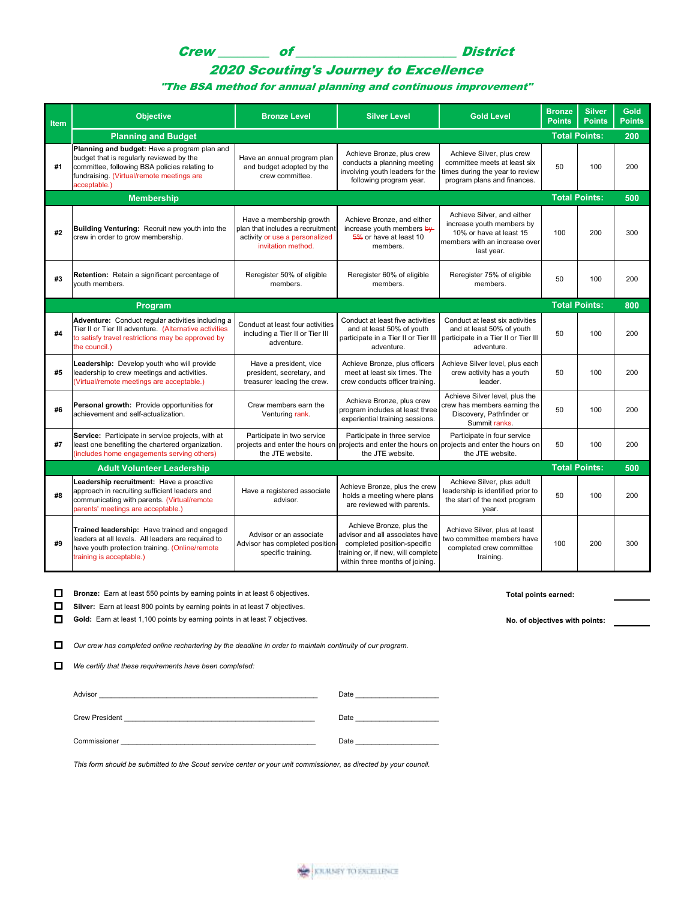# Crew \_\_\_\_\_\_\_\_ of \_\_\_\_\_\_\_\_\_\_\_\_\_\_\_\_\_\_\_\_\_\_\_\_\_ District

## 2020 Scouting's Journey to Excellence

#### "The BSA method for annual planning and continuous improvement"

| <b>Item</b> | Objective                                                                                                                                                                                              | <b>Bronze Level</b>                                                                                                  | <b>Silver Level</b>                                                                                                                                                 | <b>Gold Level</b>                                                                                                                 | <b>Bronze</b><br><b>Points</b> | <b>Silver</b><br><b>Points</b> | Gold<br><b>Points</b> |
|-------------|--------------------------------------------------------------------------------------------------------------------------------------------------------------------------------------------------------|----------------------------------------------------------------------------------------------------------------------|---------------------------------------------------------------------------------------------------------------------------------------------------------------------|-----------------------------------------------------------------------------------------------------------------------------------|--------------------------------|--------------------------------|-----------------------|
|             | <b>Planning and Budget</b>                                                                                                                                                                             |                                                                                                                      |                                                                                                                                                                     |                                                                                                                                   | <b>Total Points:</b>           |                                | 200                   |
| #1          | Planning and budget: Have a program plan and<br>budget that is regularly reviewed by the<br>committee, following BSA policies relating to<br>fundraising. (Virtual/remote meetings are<br>acceptable.) | Have an annual program plan<br>and budget adopted by the<br>crew committee.                                          | Achieve Bronze, plus crew<br>conducts a planning meeting<br>involving youth leaders for the<br>following program year.                                              | Achieve Silver, plus crew<br>committee meets at least six<br>times during the year to review<br>program plans and finances.       | 50                             | 100                            | 200                   |
|             | <b>Membership</b>                                                                                                                                                                                      |                                                                                                                      |                                                                                                                                                                     |                                                                                                                                   | <b>Total Points:</b>           |                                | 500                   |
| #2          | Building Venturing: Recruit new youth into the<br>crew in order to grow membership.                                                                                                                    | Have a membership growth<br>plan that includes a recruitment<br>activity or use a personalized<br>invitation method. | Achieve Bronze, and either<br>increase youth members $b\psi$<br>5% or have at least 10<br>members.                                                                  | Achieve Silver, and either<br>increase youth members by<br>10% or have at least 15<br>members with an increase over<br>last year. | 100                            | 200                            | 300                   |
| #3          | Retention: Retain a significant percentage of<br>vouth members.                                                                                                                                        | Reregister 50% of eligible<br>members.                                                                               | Reregister 60% of eligible<br>members.                                                                                                                              | Reregister 75% of eligible<br>members.                                                                                            | 50                             | 100                            | 200                   |
|             | <b>Total Points:</b><br>800<br>Program                                                                                                                                                                 |                                                                                                                      |                                                                                                                                                                     |                                                                                                                                   |                                |                                |                       |
| #4          | Adventure: Conduct regular activities including a<br>Tier II or Tier III adventure. (Alternative activities<br>to satisfy travel restrictions may be approved by<br>the council.)                      | Conduct at least four activities<br>including a Tier II or Tier III<br>adventure.                                    | Conduct at least five activities<br>and at least 50% of youth<br>participate in a Tier II or Tier III<br>adventure.                                                 | Conduct at least six activities<br>and at least 50% of youth<br>participate in a Tier II or Tier III<br>adventure.                | 50                             | 100                            | 200                   |
| #5          | Leadership: Develop youth who will provide<br>leadership to crew meetings and activities.<br>(Virtual/remote meetings are acceptable.)                                                                 | Have a president, vice<br>president, secretary, and<br>treasurer leading the crew.                                   | Achieve Bronze, plus officers<br>meet at least six times. The<br>crew conducts officer training.                                                                    | Achieve Silver level, plus each<br>crew activity has a youth<br>leader.                                                           | 50                             | 100                            | 200                   |
| #6          | Personal growth: Provide opportunities for<br>achievement and self-actualization.                                                                                                                      | Crew members earn the<br>Venturing rank.                                                                             | Achieve Bronze, plus crew<br>program includes at least three<br>experiential training sessions.                                                                     | Achieve Silver level, plus the<br>crew has members earning the<br>Discovery, Pathfinder or<br>Summit ranks.                       | 50                             | 100                            | 200                   |
| #7          | Service: Participate in service projects, with at<br>least one benefiting the chartered organization.<br>(includes home engagements serving others)                                                    | Participate in two service<br>projects and enter the hours on<br>the JTE website.                                    | Participate in three service<br>projects and enter the hours on projects and enter the hours on<br>the JTE website.                                                 | Participate in four service<br>the JTE website.                                                                                   | 50                             | 100                            | 200                   |
|             | <b>Total Points:</b><br>500<br><b>Adult Volunteer Leadership</b>                                                                                                                                       |                                                                                                                      |                                                                                                                                                                     |                                                                                                                                   |                                |                                |                       |
| #8          | Leadership recruitment: Have a proactive<br>approach in recruiting sufficient leaders and<br>communicating with parents. (Virtual/remote<br>parents' meetings are acceptable.)                         | Have a registered associate<br>advisor.                                                                              | Achieve Bronze, plus the crew<br>holds a meeting where plans<br>are reviewed with parents.                                                                          | Achieve Silver, plus adult<br>leadership is identified prior to<br>the start of the next program<br>year.                         | 50                             | 100                            | 200                   |
| #9          | Trained leadership: Have trained and engaged<br>leaders at all levels. All leaders are required to<br>have youth protection training. (Online/remote<br>training is acceptable.)                       | Advisor or an associate<br>Advisor has completed position-<br>specific training.                                     | Achieve Bronze, plus the<br>advisor and all associates have<br>completed position-specific<br>training or, if new, will complete<br>within three months of joining. | Achieve Silver, plus at least<br>two committee members have<br>completed crew committee<br>training.                              | 100                            | 200                            | 300                   |

**D** Bronze: Earn at least 550 points by earning points in at least 6 objectives. **The interval points earned: Total points earned:** 

**Silver:** Earn at least 800 points by earning points in at least 7 objectives.

Gold: Earn at least 1,100 points by earning points in at least 7 objectives. **No. of objectives with points:** No. of objectives with points:

Our crew has completed online rechartering by the deadline in order to maintain continuity of our program.

*We certify that these requirements have been completed:* 

Advisor \_\_\_\_\_\_\_\_\_\_\_\_\_\_\_\_\_\_\_\_\_\_\_\_\_\_\_\_\_\_\_\_\_\_\_\_\_\_\_\_\_\_\_\_\_\_\_\_\_\_\_\_\_\_\_ Date \_\_\_\_\_\_\_\_\_\_\_\_\_\_\_\_\_\_\_\_\_

Crew President \_\_\_\_\_\_\_\_\_\_\_\_\_\_\_\_\_\_\_\_\_\_\_\_\_\_\_\_\_\_\_\_\_\_\_\_\_\_\_\_\_\_\_\_\_\_\_\_ Date \_\_\_\_\_\_\_\_\_\_\_\_\_\_\_\_\_\_\_\_\_

Commissioner \_\_\_\_\_\_\_\_\_\_\_\_\_\_\_\_\_\_\_\_\_\_\_\_\_\_\_\_\_\_\_\_\_\_\_\_\_\_\_\_\_\_\_\_\_\_\_\_\_ Date \_\_\_\_\_\_\_\_\_\_\_\_\_\_\_\_\_\_\_\_\_

*This form should be submitted to the Scout service center or your unit commissioner, as directed by your council.*